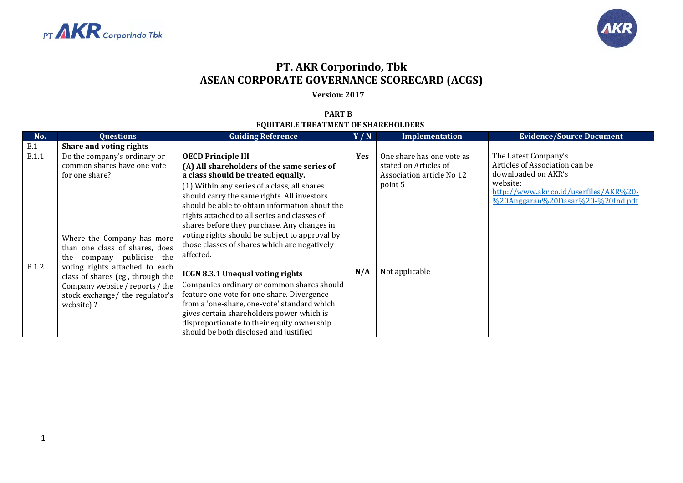



## **PT. AKR Corporindo, Tbk ASEAN CORPORATE GOVERNANCE SCORECARD (ACGS)**

**Version: 2017**

## **PART B EQUITABLE TREATMENT OF SHAREHOLDERS**

| No.          | <b>Questions</b>                                                                                                                                                                                                                                       | <b>Guiding Reference</b>                                                                                                                                                                                                                                                                                                                                                                                                                                                                                                                                                                | Y/N        | Implementation                                                                             | <b>Evidence/Source Document</b>                                                                                                                                          |
|--------------|--------------------------------------------------------------------------------------------------------------------------------------------------------------------------------------------------------------------------------------------------------|-----------------------------------------------------------------------------------------------------------------------------------------------------------------------------------------------------------------------------------------------------------------------------------------------------------------------------------------------------------------------------------------------------------------------------------------------------------------------------------------------------------------------------------------------------------------------------------------|------------|--------------------------------------------------------------------------------------------|--------------------------------------------------------------------------------------------------------------------------------------------------------------------------|
| B.1          | Share and voting rights                                                                                                                                                                                                                                |                                                                                                                                                                                                                                                                                                                                                                                                                                                                                                                                                                                         |            |                                                                                            |                                                                                                                                                                          |
| <b>B.1.1</b> | Do the company's ordinary or<br>common shares have one vote<br>for one share?                                                                                                                                                                          | <b>OECD Principle III</b><br>(A) All shareholders of the same series of<br>a class should be treated equally.<br>(1) Within any series of a class, all shares<br>should carry the same rights. All investors                                                                                                                                                                                                                                                                                                                                                                            | <b>Yes</b> | One share has one vote as<br>stated on Articles of<br>Association article No 12<br>point 5 | The Latest Company's<br>Articles of Association can be<br>downloaded on AKR's<br>website:<br>http://www.akr.co.id/userfiles/AKR%20-<br>%20Anggaran%20Dasar%20-%20Ind.pdf |
| <b>B.1.2</b> | Where the Company has more<br>than one class of shares, does<br>company publicise the<br>the<br>voting rights attached to each<br>class of shares (eg., through the<br>Company website / reports / the<br>stock exchange/ the regulator's<br>website)? | should be able to obtain information about the<br>rights attached to all series and classes of<br>shares before they purchase. Any changes in<br>voting rights should be subject to approval by<br>those classes of shares which are negatively<br>affected.<br><b>ICGN 8.3.1 Unequal voting rights</b><br>Companies ordinary or common shares should<br>feature one vote for one share. Divergence<br>from a 'one-share, one-vote' standard which<br>gives certain shareholders power which is<br>disproportionate to their equity ownership<br>should be both disclosed and justified | N/A        | Not applicable                                                                             |                                                                                                                                                                          |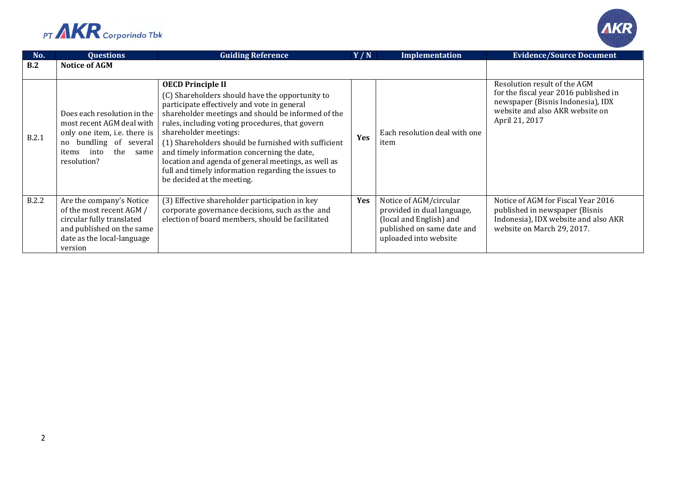



| No.          | <b>Questions</b>                                                                                                                                                  | <b>Guiding Reference</b>                                                                                                                                                                                                                                                                                                                                                                                                                                                                                        | Y/N        | <b>Implementation</b>                                                                                                                  | <b>Evidence/Source Document</b>                                                                                                                                 |
|--------------|-------------------------------------------------------------------------------------------------------------------------------------------------------------------|-----------------------------------------------------------------------------------------------------------------------------------------------------------------------------------------------------------------------------------------------------------------------------------------------------------------------------------------------------------------------------------------------------------------------------------------------------------------------------------------------------------------|------------|----------------------------------------------------------------------------------------------------------------------------------------|-----------------------------------------------------------------------------------------------------------------------------------------------------------------|
| B.2          | <b>Notice of AGM</b>                                                                                                                                              |                                                                                                                                                                                                                                                                                                                                                                                                                                                                                                                 |            |                                                                                                                                        |                                                                                                                                                                 |
| B.2.1        | Does each resolution in the<br>most recent AGM deal with<br>only one item, i.e. there is<br>no bundling of several<br>the<br>into<br>items<br>same<br>resolution? | <b>OECD Principle II</b><br>(C) Shareholders should have the opportunity to<br>participate effectively and vote in general<br>shareholder meetings and should be informed of the<br>rules, including voting procedures, that govern<br>shareholder meetings:<br>(1) Shareholders should be furnished with sufficient<br>and timely information concerning the date,<br>location and agenda of general meetings, as well as<br>full and timely information regarding the issues to<br>be decided at the meeting. | Yes        | Each resolution deal with one<br>item                                                                                                  | Resolution result of the AGM<br>for the fiscal year 2016 published in<br>newspaper (Bisnis Indonesia), IDX<br>website and also AKR website on<br>April 21, 2017 |
| <b>B.2.2</b> | Are the company's Notice<br>of the most recent AGM /<br>circular fully translated<br>and published on the same<br>date as the local-language<br>version           | (3) Effective shareholder participation in key<br>corporate governance decisions, such as the and<br>election of board members, should be facilitated                                                                                                                                                                                                                                                                                                                                                           | <b>Yes</b> | Notice of AGM/circular<br>provided in dual language,<br>(local and English) and<br>published on same date and<br>uploaded into website | Notice of AGM for Fiscal Year 2016<br>published in newspaper (Bisnis<br>Indonesia), IDX website and also AKR<br>website on March 29, 2017.                      |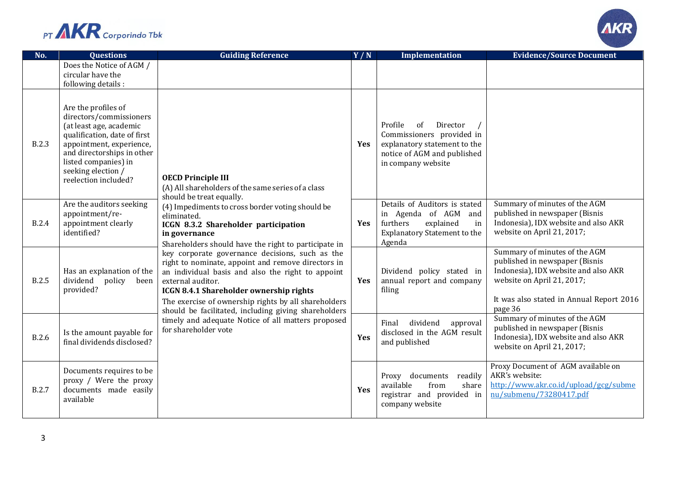



| No.          | <b>Questions</b>                                                                                                                                                                                                                          | <b>Guiding Reference</b>                                                                                                                                                                                                                                                                                                                                                                                                                                                                                                                                                                                                                                                                                                           | Y/N        | Implementation                                                                                                                              | <b>Evidence/Source Document</b>                                                                                                                                                              |
|--------------|-------------------------------------------------------------------------------------------------------------------------------------------------------------------------------------------------------------------------------------------|------------------------------------------------------------------------------------------------------------------------------------------------------------------------------------------------------------------------------------------------------------------------------------------------------------------------------------------------------------------------------------------------------------------------------------------------------------------------------------------------------------------------------------------------------------------------------------------------------------------------------------------------------------------------------------------------------------------------------------|------------|---------------------------------------------------------------------------------------------------------------------------------------------|----------------------------------------------------------------------------------------------------------------------------------------------------------------------------------------------|
|              | Does the Notice of AGM /<br>circular have the<br>following details :                                                                                                                                                                      |                                                                                                                                                                                                                                                                                                                                                                                                                                                                                                                                                                                                                                                                                                                                    |            |                                                                                                                                             |                                                                                                                                                                                              |
| <b>B.2.3</b> | Are the profiles of<br>directors/commissioners<br>(at least age, academic<br>qualification, date of first<br>appointment, experience,<br>and directorships in other<br>listed companies) in<br>seeking election /<br>reelection included? | <b>OECD Principle III</b><br>(A) All shareholders of the same series of a class<br>should be treat equally.<br>(4) Impediments to cross border voting should be<br>eliminated.<br>ICGN 8.3.2 Shareholder participation<br>in governance<br>Shareholders should have the right to participate in<br>key corporate governance decisions, such as the<br>right to nominate, appoint and remove directors in<br>an individual basis and also the right to appoint<br>external auditor.<br><b>ICGN 8.4.1 Shareholder ownership rights</b><br>The exercise of ownership rights by all shareholders<br>should be facilitated, including giving shareholders<br>timely and adequate Notice of all matters proposed<br>for shareholder vote | Yes        | Profile<br>of<br>Director<br>Commissioners provided in<br>explanatory statement to the<br>notice of AGM and published<br>in company website |                                                                                                                                                                                              |
| <b>B.2.4</b> | Are the auditors seeking<br>appointment/re-<br>appointment clearly<br>identified?                                                                                                                                                         |                                                                                                                                                                                                                                                                                                                                                                                                                                                                                                                                                                                                                                                                                                                                    | <b>Yes</b> | Details of Auditors is stated<br>in Agenda of AGM and<br>furthers<br>explained<br>in<br><b>Explanatory Statement to the</b><br>Agenda       | Summary of minutes of the AGM<br>published in newspaper (Bisnis<br>Indonesia), IDX website and also AKR<br>website on April 21, 2017;                                                        |
| <b>B.2.5</b> | Has an explanation of the<br>dividend<br>policy<br>been<br>provided?                                                                                                                                                                      |                                                                                                                                                                                                                                                                                                                                                                                                                                                                                                                                                                                                                                                                                                                                    | Yes        | Dividend policy stated in<br>annual report and company<br>filing                                                                            | Summary of minutes of the AGM<br>published in newspaper (Bisnis<br>Indonesia), IDX website and also AKR<br>website on April 21, 2017;<br>It was also stated in Annual Report 2016<br>page 36 |
| <b>B.2.6</b> | Is the amount payable for<br>final dividends disclosed?                                                                                                                                                                                   |                                                                                                                                                                                                                                                                                                                                                                                                                                                                                                                                                                                                                                                                                                                                    | Yes        | dividend<br>Final<br>approval<br>disclosed in the AGM result<br>and published                                                               | Summary of minutes of the AGM<br>published in newspaper (Bisnis<br>Indonesia), IDX website and also AKR<br>website on April 21, 2017;                                                        |
| B.2.7        | Documents requires to be<br>proxy / Were the proxy<br>documents made easily<br>available                                                                                                                                                  |                                                                                                                                                                                                                                                                                                                                                                                                                                                                                                                                                                                                                                                                                                                                    | <b>Yes</b> | documents readily<br>Proxy<br>available<br>from<br>share<br>registrar and provided in<br>company website                                    | Proxy Document of AGM available on<br>AKR's website:<br>http://www.akr.co.id/upload/gcg/subme<br>nu/submenu/73280417.pdf                                                                     |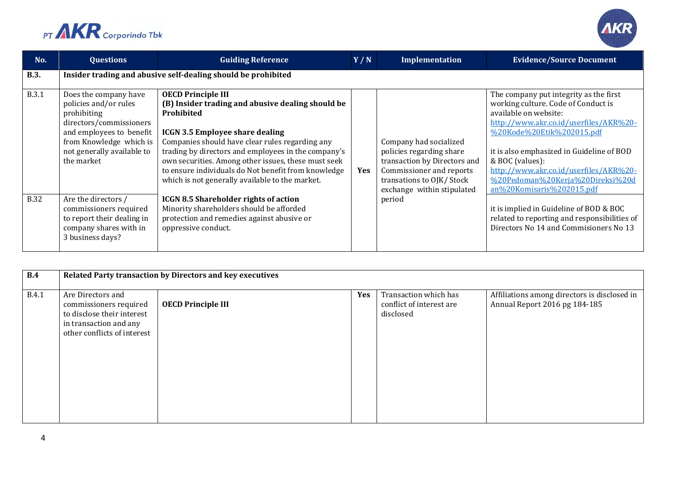



| No.          | <b>Questions</b>                                                                                                                                                                            | <b>Guiding Reference</b>                                                                                                                                                                                                                                                                                                                                                                                          | Y/N | Implementation                                                                                                                                                           | <b>Evidence/Source Document</b>                                                                                                                                                                                                                                                                                                                          |  |
|--------------|---------------------------------------------------------------------------------------------------------------------------------------------------------------------------------------------|-------------------------------------------------------------------------------------------------------------------------------------------------------------------------------------------------------------------------------------------------------------------------------------------------------------------------------------------------------------------------------------------------------------------|-----|--------------------------------------------------------------------------------------------------------------------------------------------------------------------------|----------------------------------------------------------------------------------------------------------------------------------------------------------------------------------------------------------------------------------------------------------------------------------------------------------------------------------------------------------|--|
| <b>B.3.</b>  | Insider trading and abusive self-dealing should be prohibited                                                                                                                               |                                                                                                                                                                                                                                                                                                                                                                                                                   |     |                                                                                                                                                                          |                                                                                                                                                                                                                                                                                                                                                          |  |
| <b>B.3.1</b> | Does the company have<br>policies and/or rules<br>prohibiting<br>directors/commissioners<br>and employees to benefit<br>from Knowledge which is<br>not generally available to<br>the market | <b>OECD Principle III</b><br>(B) Insider trading and abusive dealing should be<br>Prohibited<br><b>ICGN 3.5 Employee share dealing</b><br>Companies should have clear rules regarding any<br>trading by directors and employees in the company's<br>own securities. Among other issues, these must seek<br>to ensure individuals do Not benefit from knowledge<br>which is not generally available to the market. | Yes | Company had socialized<br>policies regarding share<br>transaction by Directors and<br>Commissioner and reports<br>transations to OJK/Stock<br>exchange within stipulated | The company put integrity as the first<br>working culture. Code of Conduct is<br>available on website:<br>http://www.akr.co.id/userfiles/AKR%20-<br>%20Kode%20Etik%202015.pdf<br>it is also emphasized in Guideline of BOD<br>& BOC (values):<br>http://www.akr.co.id/userfiles/AKR%20-<br>%20Pedoman%20Kerja%20Direksi%20d<br>an%20Komisaris%202015.pdf |  |
| <b>B.32</b>  | Are the directors /<br>commissioners required<br>to report their dealing in<br>company shares with in<br>3 business days?                                                                   | <b>ICGN 8.5 Shareholder rights of action</b><br>Minority shareholders should be afforded<br>protection and remedies against abusive or<br>oppressive conduct.                                                                                                                                                                                                                                                     |     | period                                                                                                                                                                   | it is implied in Guideline of BOD & BOC<br>related to reporting and responsibilities of<br>Directors No 14 and Commisioners No 13                                                                                                                                                                                                                        |  |

| B.4          | Related Party transaction by Directors and key executives                                                                          |                           |     |                                                                |                                                                               |  |
|--------------|------------------------------------------------------------------------------------------------------------------------------------|---------------------------|-----|----------------------------------------------------------------|-------------------------------------------------------------------------------|--|
|              |                                                                                                                                    |                           |     |                                                                |                                                                               |  |
| <b>B.4.1</b> | Are Directors and<br>commissioners required<br>to disclose their interest<br>in transaction and any<br>other conflicts of interest | <b>OECD Principle III</b> | Yes | Transaction which has<br>conflict of interest are<br>disclosed | Affiliations among directors is disclosed in<br>Annual Report 2016 pg 184-185 |  |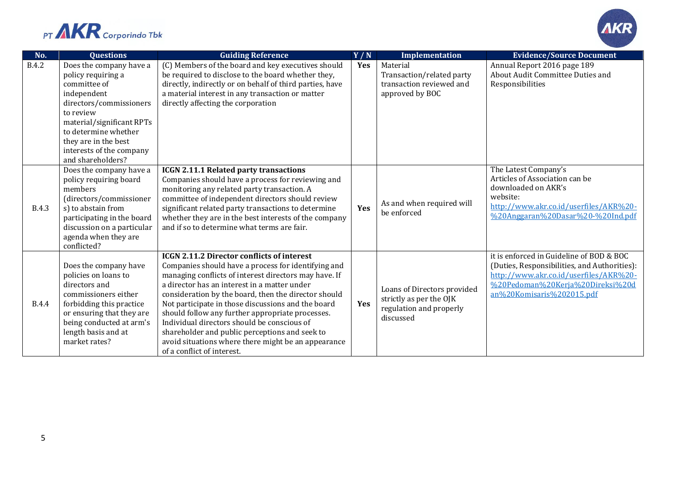



| No.          | <b>Questions</b>                  | <b>Guiding Reference</b>                                                                         | Y/N | Implementation                       | <b>Evidence/Source Document</b>                        |
|--------------|-----------------------------------|--------------------------------------------------------------------------------------------------|-----|--------------------------------------|--------------------------------------------------------|
| <b>B.4.2</b> | Does the company have a           | (C) Members of the board and key executives should                                               | Yes | Material                             | Annual Report 2016 page 189                            |
|              | policy requiring a                | be required to disclose to the board whether they,                                               |     | Transaction/related party            | About Audit Committee Duties and                       |
|              | committee of                      | directly, indirectly or on behalf of third parties, have                                         |     | transaction reviewed and             | Responsibilities                                       |
|              | independent                       | a material interest in any transaction or matter                                                 |     | approved by BOC                      |                                                        |
|              | directors/commissioners           | directly affecting the corporation                                                               |     |                                      |                                                        |
|              | to review                         |                                                                                                  |     |                                      |                                                        |
|              | material/significant RPTs         |                                                                                                  |     |                                      |                                                        |
|              | to determine whether              |                                                                                                  |     |                                      |                                                        |
|              | they are in the best              |                                                                                                  |     |                                      |                                                        |
|              | interests of the company          |                                                                                                  |     |                                      |                                                        |
|              | and shareholders?                 |                                                                                                  |     |                                      |                                                        |
|              | Does the company have a           | ICGN 2.11.1 Related party transactions                                                           |     |                                      | The Latest Company's<br>Articles of Association can be |
|              | policy requiring board<br>members | Companies should have a process for reviewing and<br>monitoring any related party transaction. A |     | As and when required will            | downloaded on AKR's                                    |
|              | (directors/commissioner           | committee of independent directors should review                                                 |     |                                      | website:                                               |
| <b>B.4.3</b> | s) to abstain from                | significant related party transactions to determine                                              | Yes |                                      | http://www.akr.co.id/userfiles/AKR%20-                 |
|              | participating in the board        | whether they are in the best interests of the company                                            |     | be enforced                          | %20Anggaran%20Dasar%20-%20Ind.pdf                      |
|              | discussion on a particular        | and if so to determine what terms are fair.                                                      |     |                                      |                                                        |
|              | agenda when they are              |                                                                                                  |     |                                      |                                                        |
|              | conflicted?                       |                                                                                                  |     |                                      |                                                        |
|              |                                   | <b>ICGN 2.11.2 Director conflicts of interest</b>                                                |     |                                      | it is enforced in Guideline of BOD & BOC               |
|              | Does the company have             | Companies should have a process for identifying and                                              |     |                                      | (Duties, Responsibilities, and Authorities):           |
|              | policies on loans to              | managing conflicts of interest directors may have. If                                            | Yes |                                      | http://www.akr.co.id/userfiles/AKR%20-                 |
|              | directors and                     | a director has an interest in a matter under                                                     |     | Loans of Directors provided          | %20Pedoman%20Kerja%20Direksi%20d                       |
|              | commissioners either              | consideration by the board, then the director should                                             |     |                                      | an%20Komisaris%202015.pdf                              |
| <b>B.4.4</b> | forbidding this practice          | Not participate in those discussions and the board                                               |     | strictly as per the OJK              |                                                        |
|              | or ensuring that they are         | should follow any further appropriate processes.                                                 |     | regulation and properly<br>discussed |                                                        |
|              | being conducted at arm's          | Individual directors should be conscious of                                                      |     |                                      |                                                        |
|              | length basis and at               | shareholder and public perceptions and seek to                                                   |     |                                      |                                                        |
|              | market rates?                     | avoid situations where there might be an appearance                                              |     |                                      |                                                        |
|              |                                   | of a conflict of interest.                                                                       |     |                                      |                                                        |